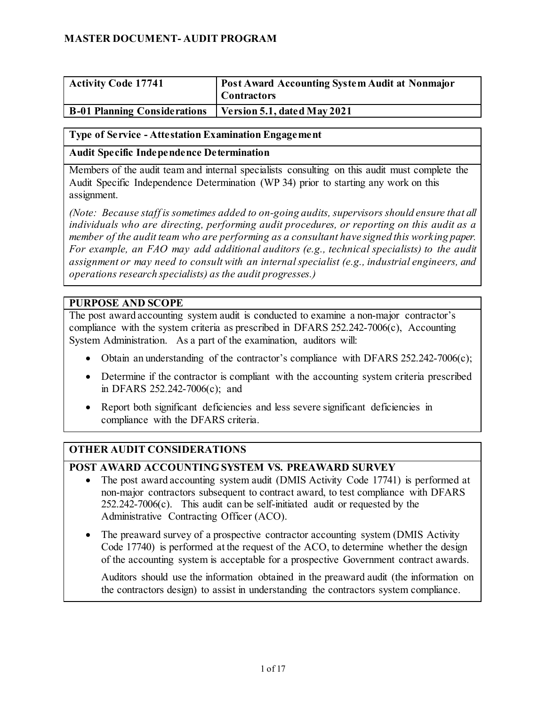| <b>Activity Code 17741</b>          | <b>Post Award Accounting System Audit at Nonmajor</b><br><b>Contractors</b> |
|-------------------------------------|-----------------------------------------------------------------------------|
| <b>B-01 Planning Considerations</b> | Version 5.1, dated May 2021                                                 |

#### <span id="page-0-0"></span>**Type of Service - Attestation Examination Engagement**

#### **Audit Specific Independence Determination**

Members of the audit team and internal specialists consulting on this audit must complete the Audit Specific Independence Determination (WP 34) prior to starting any work on this assignment.

*(Note: Because staff is sometimes added to on-going audits, supervisors should ensure that all individuals who are directing, performing audit procedures, or reporting on this audit as a member of the audit team who are performing as a consultant have signed this working paper. For example, an FAO may add additional auditors (e.g., technical specialists) to the audit assignment or may need to consult with an internal specialist (e.g., industrial engineers, and operations research specialists) as the audit progresses.)*

#### **PURPOSE AND SCOPE**

The post award accounting system audit is conducted to examine a non-major contractor's compliance with the system criteria as prescribed in DFARS 252.242-7006(c), Accounting System Administration. As a part of the examination, auditors will:

- Obtain an understanding of the contractor's compliance with DFARS 252.242-7006(c);
- Determine if the contractor is compliant with the accounting system criteria prescribed in DFARS 252.242-7006(c); and
- Report both significant deficiencies and less severe significant deficiencies in compliance with the DFARS criteria.

#### **OTHER AUDIT CONSIDERATIONS**

#### **POST AWARD ACCOUNTING SYSTEM VS. PREAWARD SURVEY**

- The post award accounting system audit (DMIS Activity Code 17741) is performed at non-major contractors subsequent to contract award, to test compliance with DFARS  $252.242$ -7006(c). This audit can be self-initiated audit or requested by the Administrative Contracting Officer (ACO).
- The preaward survey of a prospective contractor accounting system (DMIS Activity Code 17740) is performed at the request of the ACO, to determine whether the design of the accounting system is acceptable for a prospective Government contract awards.

Auditors should use the information obtained in the preaward audit (the information on the contractors design) to assist in understanding the contractors system compliance.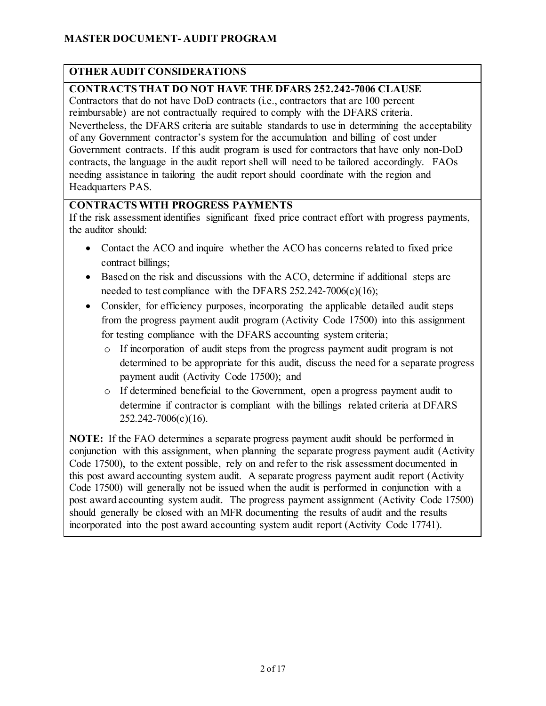### **OTHER AUDIT CONSIDERATIONS**

### **CONTRACTS THAT DO NOT HAVE THE DFARS 252.242-7006 CLAUSE**

Contractors that do not have DoD contracts (i.e., contractors that are 100 percent reimbursable) are not contractually required to comply with the DFARS criteria. Nevertheless, the DFARS criteria are suitable standards to use in determining the acceptability of any Government contractor's system for the accumulation and billing of cost under Government contracts. If this audit program is used for contractors that have only non-DoD contracts, the language in the audit report shell will need to be tailored accordingly. FAOs needing assistance in tailoring the audit report should coordinate with the region and Headquarters PAS.

### **CONTRACTS WITH PROGRESS PAYMENTS**

If the risk assessment identifies significant fixed price contract effort with progress payments, the auditor should:

- Contact the ACO and inquire whether the ACO has concerns related to fixed price contract billings;
- Based on the risk and discussions with the ACO, determine if additional steps are needed to test compliance with the DFARS  $252.242-7006(c)(16)$ ;
- Consider, for efficiency purposes, incorporating the applicable detailed audit steps from the progress payment audit program (Activity Code 17500) into this assignment for testing compliance with the DFARS accounting system criteria;
	- o If incorporation of audit steps from the progress payment audit program is not determined to be appropriate for this audit, discuss the need for a separate progress payment audit (Activity Code 17500); and
	- o If determined beneficial to the Government, open a progress payment audit to determine if contractor is compliant with the billings related criteria at DFARS 252.242-7006(c)(16).

**NOTE:** If the FAO determines a separate progress payment audit should be performed in conjunction with this assignment, when planning the separate progress payment audit (Activity Code 17500), to the extent possible, rely on and refer to the risk assessment documented in this post award accounting system audit. A separate progress payment audit report (Activity Code 17500) will generally not be issued when the audit is performed in conjunction with a post award accounting system audit. The progress payment assignment (Activity Code 17500) should generally be closed with an MFR documenting the results of audit and the results incorporated into the post award accounting system audit report (Activity Code 17741).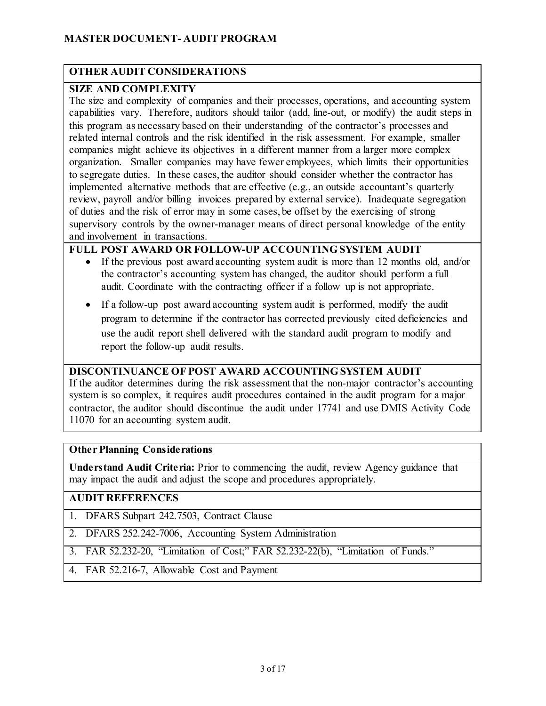### **OTHER AUDIT CONSIDERATIONS**

### **SIZE AND COMPLEXITY**

The size and complexity of companies and their processes, operations, and accounting system capabilities vary. Therefore, auditors should tailor (add, line-out, or modify) the audit steps in this program as necessary based on their understanding of the contractor's processes and related internal controls and the risk identified in the risk assessment. For example, smaller companies might achieve its objectives in a different manner from a larger more complex organization. Smaller companies may have fewer employees, which limits their opportunities to segregate duties. In these cases, the auditor should consider whether the contractor has implemented alternative methods that are effective (e.g., an outside accountant's quarterly review, payroll and/or billing invoices prepared by external service). Inadequate segregation of duties and the risk of error may in some cases, be offset by the exercising of strong supervisory controls by the owner-manager means of direct personal knowledge of the entity and involvement in transactions.

### **FULL POST AWARD OR FOLLOW-UP ACCOUNTING SYSTEM AUDIT**

- If the previous post award accounting system audit is more than 12 months old, and/or the contractor's accounting system has changed, the auditor should perform a full audit. Coordinate with the contracting officer if a follow up is not appropriate.
- If a follow-up post award accounting system audit is performed, modify the audit program to determine if the contractor has corrected previously cited deficiencies and use the audit report shell delivered with the standard audit program to modify and report the follow-up audit results.

#### **DISCONTINUANCE OF POST AWARD ACCOUNTING SYSTEM AUDIT**

If the auditor determines during the risk assessment that the non-major contractor's accounting system is so complex, it requires audit procedures contained in the audit program for a major contractor, the auditor should discontinue the audit under 17741 and use DMIS Activity Code 11070 for an accounting system audit.

#### **Other Planning Considerations**

**Understand Audit Criteria:** Prior to commencing the audit, review Agency guidance that may impact the audit and adjust the scope and procedures appropriately.

### **AUDIT REFERENCES**

- 1. DFARS Subpart 242.7503, Contract Clause
- 2. DFARS 252.242-7006, Accounting System Administration
- 3. FAR 52.232-20, "Limitation of Cost;" FAR 52.232-22(b), "Limitation of Funds."
- 4. FAR 52.216-7, Allowable Cost and Payment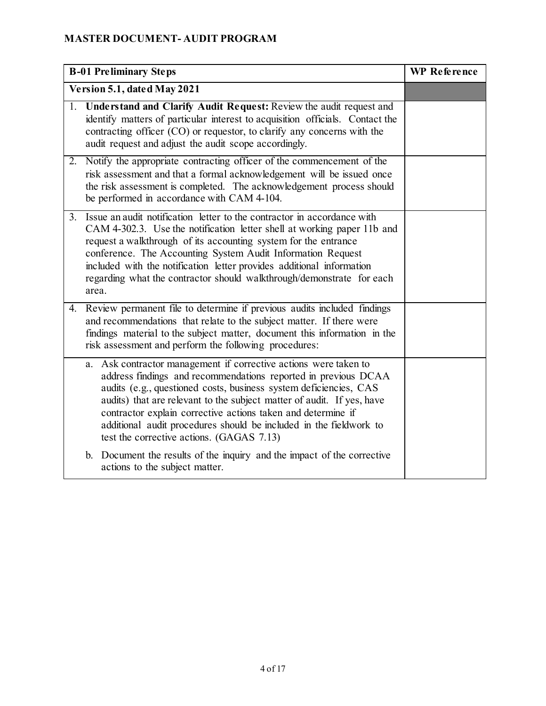| <b>B-01 Preliminary Steps</b> |                                                                                                                                                                                                                                                                                                                                                                                                                                                                      | <b>WP</b> Reference |
|-------------------------------|----------------------------------------------------------------------------------------------------------------------------------------------------------------------------------------------------------------------------------------------------------------------------------------------------------------------------------------------------------------------------------------------------------------------------------------------------------------------|---------------------|
| Version 5.1, dated May 2021   |                                                                                                                                                                                                                                                                                                                                                                                                                                                                      |                     |
|                               | 1. Understand and Clarify Audit Request: Review the audit request and<br>identify matters of particular interest to acquisition officials. Contact the<br>contracting officer (CO) or requestor, to clarify any concerns with the<br>audit request and adjust the audit scope accordingly.                                                                                                                                                                           |                     |
|                               | 2. Notify the appropriate contracting officer of the commencement of the<br>risk assessment and that a formal acknowledgement will be issued once<br>the risk assessment is completed. The acknowledgement process should<br>be performed in accordance with CAM 4-104.                                                                                                                                                                                              |                     |
| 3.                            | Issue an audit notification letter to the contractor in accordance with<br>CAM 4-302.3. Use the notification letter shell at working paper 11b and<br>request a walkthrough of its accounting system for the entrance<br>conference. The Accounting System Audit Information Request<br>included with the notification letter provides additional information<br>regarding what the contractor should walkthrough/demonstrate for each<br>area.                      |                     |
| 4.                            | Review permanent file to determine if previous audits included findings<br>and recommendations that relate to the subject matter. If there were<br>findings material to the subject matter, document this information in the<br>risk assessment and perform the following procedures:                                                                                                                                                                                |                     |
|                               | a. Ask contractor management if corrective actions were taken to<br>address findings and recommendations reported in previous DCAA<br>audits (e.g., questioned costs, business system deficiencies, CAS<br>audits) that are relevant to the subject matter of audit. If yes, have<br>contractor explain corrective actions taken and determine if<br>additional audit procedures should be included in the fieldwork to<br>test the corrective actions. (GAGAS 7.13) |                     |
|                               | Document the results of the inquiry and the impact of the corrective<br>b.<br>actions to the subject matter.                                                                                                                                                                                                                                                                                                                                                         |                     |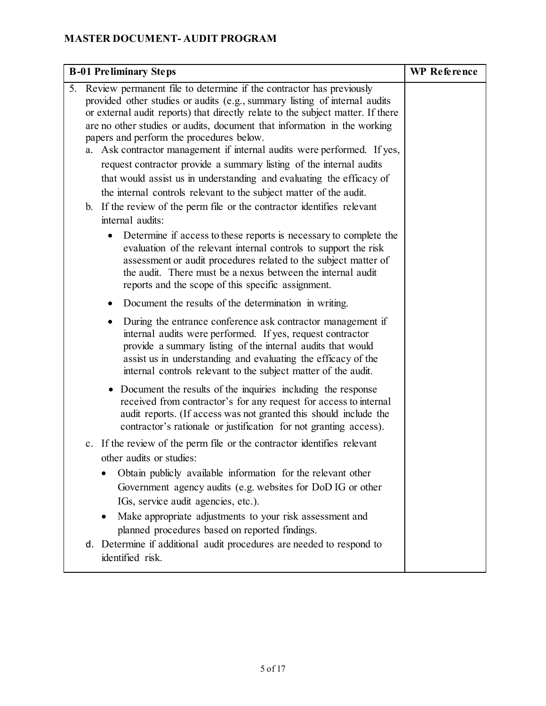| <b>B-01 Preliminary Steps</b>                                                                                                                                                                                                                                                                                                                                                                                                                                                                                                                                                                                                                                      | <b>WP</b> Reference |
|--------------------------------------------------------------------------------------------------------------------------------------------------------------------------------------------------------------------------------------------------------------------------------------------------------------------------------------------------------------------------------------------------------------------------------------------------------------------------------------------------------------------------------------------------------------------------------------------------------------------------------------------------------------------|---------------------|
| Review permanent file to determine if the contractor has previously<br>5.<br>provided other studies or audits (e.g., summary listing of internal audits<br>or external audit reports) that directly relate to the subject matter. If there<br>are no other studies or audits, document that information in the working<br>papers and perform the procedures below.<br>a. Ask contractor management if internal audits were performed. If yes,<br>request contractor provide a summary listing of the internal audits<br>that would assist us in understanding and evaluating the efficacy of<br>the internal controls relevant to the subject matter of the audit. |                     |
| b. If the review of the perm file or the contractor identifies relevant<br>internal audits:                                                                                                                                                                                                                                                                                                                                                                                                                                                                                                                                                                        |                     |
| Determine if access to these reports is necessary to complete the<br>$\bullet$<br>evaluation of the relevant internal controls to support the risk<br>assessment or audit procedures related to the subject matter of<br>the audit. There must be a nexus between the internal audit<br>reports and the scope of this specific assignment.                                                                                                                                                                                                                                                                                                                         |                     |
| Document the results of the determination in writing.                                                                                                                                                                                                                                                                                                                                                                                                                                                                                                                                                                                                              |                     |
| During the entrance conference ask contractor management if<br>$\bullet$<br>internal audits were performed. If yes, request contractor<br>provide a summary listing of the internal audits that would<br>assist us in understanding and evaluating the efficacy of the<br>internal controls relevant to the subject matter of the audit.                                                                                                                                                                                                                                                                                                                           |                     |
| Document the results of the inquiries including the response<br>$\bullet$<br>received from contractor's for any request for access to internal<br>audit reports. (If access was not granted this should include the<br>contractor's rationale or justification for not granting access).                                                                                                                                                                                                                                                                                                                                                                           |                     |
| c. If the review of the perm file or the contractor identifies relevant<br>other audits or studies:<br>Obtain publicly available information for the relevant other<br>Government agency audits (e.g. websites for DoD IG or other<br>IGs, service audit agencies, etc.).<br>Make appropriate adjustments to your risk assessment and<br>$\bullet$<br>planned procedures based on reported findings.                                                                                                                                                                                                                                                               |                     |
| d. Determine if additional audit procedures are needed to respond to<br>identified risk.                                                                                                                                                                                                                                                                                                                                                                                                                                                                                                                                                                           |                     |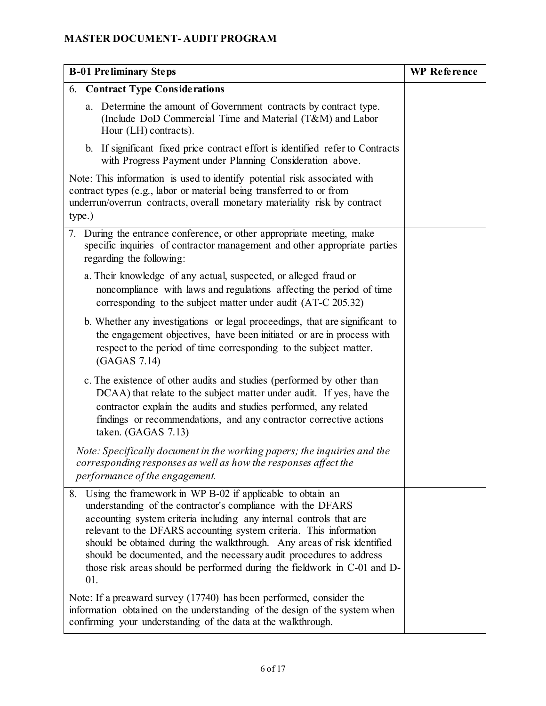| <b>B-01 Preliminary Steps</b>                                                                                                                                                                                                                                                                                                                                                                                                                                                                                    | <b>WP</b> Reference |
|------------------------------------------------------------------------------------------------------------------------------------------------------------------------------------------------------------------------------------------------------------------------------------------------------------------------------------------------------------------------------------------------------------------------------------------------------------------------------------------------------------------|---------------------|
| <b>6. Contract Type Considerations</b>                                                                                                                                                                                                                                                                                                                                                                                                                                                                           |                     |
| a. Determine the amount of Government contracts by contract type.<br>(Include DoD Commercial Time and Material (T&M) and Labor<br>Hour (LH) contracts).                                                                                                                                                                                                                                                                                                                                                          |                     |
| b. If significant fixed price contract effort is identified refer to Contracts<br>with Progress Payment under Planning Consideration above.                                                                                                                                                                                                                                                                                                                                                                      |                     |
| Note: This information is used to identify potential risk associated with<br>contract types (e.g., labor or material being transferred to or from<br>underrun/overrun contracts, overall monetary materiality risk by contract<br>type.)                                                                                                                                                                                                                                                                         |                     |
| 7. During the entrance conference, or other appropriate meeting, make<br>specific inquiries of contractor management and other appropriate parties<br>regarding the following:                                                                                                                                                                                                                                                                                                                                   |                     |
| a. Their knowledge of any actual, suspected, or alleged fraud or<br>noncompliance with laws and regulations affecting the period of time<br>corresponding to the subject matter under audit (AT-C 205.32)                                                                                                                                                                                                                                                                                                        |                     |
| b. Whether any investigations or legal proceedings, that are significant to<br>the engagement objectives, have been initiated or are in process with<br>respect to the period of time corresponding to the subject matter.<br>(GAGAS 7.14)                                                                                                                                                                                                                                                                       |                     |
| c. The existence of other audits and studies (performed by other than<br>DCAA) that relate to the subject matter under audit. If yes, have the<br>contractor explain the audits and studies performed, any related<br>findings or recommendations, and any contractor corrective actions<br>taken. (GAGAS 7.13)                                                                                                                                                                                                  |                     |
| Note: Specifically document in the working papers; the inquiries and the<br>corresponding responses as well as how the responses affect the<br>performance of the engagement.                                                                                                                                                                                                                                                                                                                                    |                     |
| Using the framework in WP B-02 if applicable to obtain an<br>8.<br>understanding of the contractor's compliance with the DFARS<br>accounting system criteria including any internal controls that are<br>relevant to the DFARS accounting system criteria. This information<br>should be obtained during the walkthrough. Any areas of risk identified<br>should be documented, and the necessary audit procedures to address<br>those risk areas should be performed during the fieldwork in C-01 and D-<br>01. |                     |
| Note: If a preaward survey (17740) has been performed, consider the<br>information obtained on the understanding of the design of the system when<br>confirming your understanding of the data at the walkthrough.                                                                                                                                                                                                                                                                                               |                     |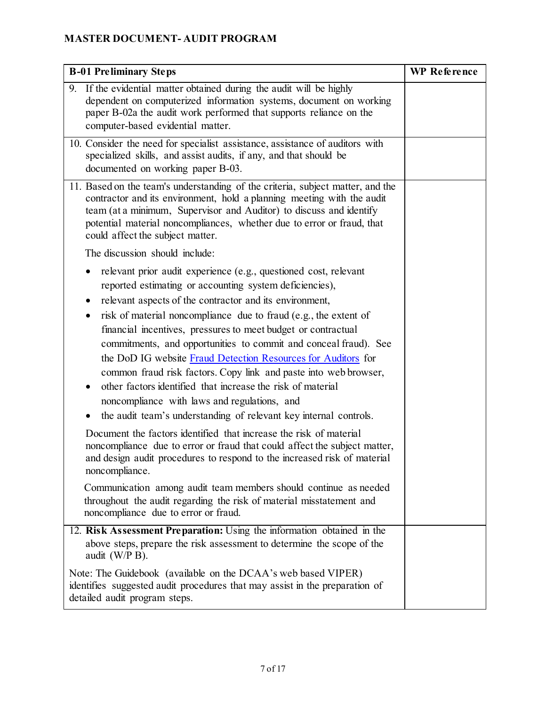| <b>B-01 Preliminary Steps</b>                                                                                                                                                                                                                                                                                                                                                                                                                                                                                                                                                                                                                                                                                                                                                                                                                                                                                                                                             | <b>WP</b> Reference |
|---------------------------------------------------------------------------------------------------------------------------------------------------------------------------------------------------------------------------------------------------------------------------------------------------------------------------------------------------------------------------------------------------------------------------------------------------------------------------------------------------------------------------------------------------------------------------------------------------------------------------------------------------------------------------------------------------------------------------------------------------------------------------------------------------------------------------------------------------------------------------------------------------------------------------------------------------------------------------|---------------------|
| If the evidential matter obtained during the audit will be highly<br>9.<br>dependent on computerized information systems, document on working<br>paper B-02a the audit work performed that supports reliance on the<br>computer-based evidential matter.                                                                                                                                                                                                                                                                                                                                                                                                                                                                                                                                                                                                                                                                                                                  |                     |
| 10. Consider the need for specialist assistance, assistance of auditors with<br>specialized skills, and assist audits, if any, and that should be<br>documented on working paper B-03.                                                                                                                                                                                                                                                                                                                                                                                                                                                                                                                                                                                                                                                                                                                                                                                    |                     |
| 11. Based on the team's understanding of the criteria, subject matter, and the<br>contractor and its environment, hold a planning meeting with the audit<br>team (at a minimum, Supervisor and Auditor) to discuss and identify<br>potential material noncompliances, whether due to error or fraud, that<br>could affect the subject matter.                                                                                                                                                                                                                                                                                                                                                                                                                                                                                                                                                                                                                             |                     |
| The discussion should include:                                                                                                                                                                                                                                                                                                                                                                                                                                                                                                                                                                                                                                                                                                                                                                                                                                                                                                                                            |                     |
| relevant prior audit experience (e.g., questioned cost, relevant<br>reported estimating or accounting system deficiencies),<br>relevant aspects of the contractor and its environment,<br>risk of material noncompliance due to fraud (e.g., the extent of<br>financial incentives, pressures to meet budget or contractual<br>commitments, and opportunities to commit and conceal fraud). See<br>the DoD IG website Fraud Detection Resources for Auditors for<br>common fraud risk factors. Copy link and paste into web browser,<br>other factors identified that increase the risk of material<br>noncompliance with laws and regulations, and<br>the audit team's understanding of relevant key internal controls.<br>Document the factors identified that increase the risk of material<br>noncompliance due to error or fraud that could affect the subject matter,<br>and design audit procedures to respond to the increased risk of material<br>noncompliance. |                     |
| Communication among audit team members should continue as needed<br>throughout the audit regarding the risk of material misstatement and<br>noncompliance due to error or fraud.                                                                                                                                                                                                                                                                                                                                                                                                                                                                                                                                                                                                                                                                                                                                                                                          |                     |
| 12. Risk Assessment Preparation: Using the information obtained in the<br>above steps, prepare the risk assessment to determine the scope of the<br>audit (W/P B).                                                                                                                                                                                                                                                                                                                                                                                                                                                                                                                                                                                                                                                                                                                                                                                                        |                     |
| Note: The Guidebook (available on the DCAA's web based VIPER)<br>identifies suggested audit procedures that may assist in the preparation of<br>detailed audit program steps.                                                                                                                                                                                                                                                                                                                                                                                                                                                                                                                                                                                                                                                                                                                                                                                             |                     |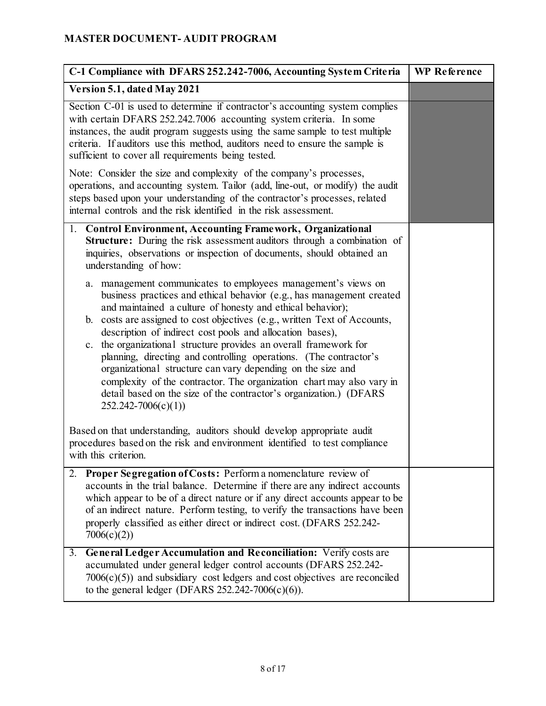| C-1 Compliance with DFARS 252.242-7006, Accounting System Criteria                                                                                                                                                                                                                                                                                                                                                                                                                                                                                                                                                                                                                                                                  | <b>WP</b> Reference |
|-------------------------------------------------------------------------------------------------------------------------------------------------------------------------------------------------------------------------------------------------------------------------------------------------------------------------------------------------------------------------------------------------------------------------------------------------------------------------------------------------------------------------------------------------------------------------------------------------------------------------------------------------------------------------------------------------------------------------------------|---------------------|
| Version 5.1, dated May 2021                                                                                                                                                                                                                                                                                                                                                                                                                                                                                                                                                                                                                                                                                                         |                     |
| Section C-01 is used to determine if contractor's accounting system complies<br>with certain DFARS 252.242.7006 accounting system criteria. In some<br>instances, the audit program suggests using the same sample to test multiple<br>criteria. If auditors use this method, auditors need to ensure the sample is<br>sufficient to cover all requirements being tested.                                                                                                                                                                                                                                                                                                                                                           |                     |
| Note: Consider the size and complexity of the company's processes,<br>operations, and accounting system. Tailor (add, line-out, or modify) the audit<br>steps based upon your understanding of the contractor's processes, related<br>internal controls and the risk identified in the risk assessment.                                                                                                                                                                                                                                                                                                                                                                                                                             |                     |
| 1. Control Environment, Accounting Framework, Organizational<br><b>Structure:</b> During the risk assessment auditors through a combination of<br>inquiries, observations or inspection of documents, should obtained an<br>understanding of how:                                                                                                                                                                                                                                                                                                                                                                                                                                                                                   |                     |
| a. management communicates to employees management's views on<br>business practices and ethical behavior (e.g., has management created<br>and maintained a culture of honesty and ethical behavior);<br>b. costs are assigned to cost objectives (e.g., written Text of Accounts,<br>description of indirect cost pools and allocation bases),<br>the organizational structure provides an overall framework for<br>c.<br>planning, directing and controlling operations. (The contractor's<br>organizational structure can vary depending on the size and<br>complexity of the contractor. The organization chart may also vary in<br>detail based on the size of the contractor's organization.) (DFARS<br>$252.242 - 7006(c)(1)$ |                     |
| Based on that understanding, auditors should develop appropriate audit<br>procedures based on the risk and environment identified to test compliance<br>with this criterion.                                                                                                                                                                                                                                                                                                                                                                                                                                                                                                                                                        |                     |
| Proper Segregation of Costs: Perform a nomenclature review of<br>2.<br>accounts in the trial balance. Determine if there are any indirect accounts<br>which appear to be of a direct nature or if any direct accounts appear to be<br>of an indirect nature. Perform testing, to verify the transactions have been<br>properly classified as either direct or indirect cost. (DFARS 252.242-<br>7006(c)(2)                                                                                                                                                                                                                                                                                                                          |                     |
| General Ledger Accumulation and Reconciliation: Verify costs are<br>3.<br>accumulated under general ledger control accounts (DFARS 252.242-<br>$7006(c)(5)$ and subsidiary cost ledgers and cost objectives are reconciled<br>to the general ledger (DFARS $252.242-7006(c)(6)$ ).                                                                                                                                                                                                                                                                                                                                                                                                                                                  |                     |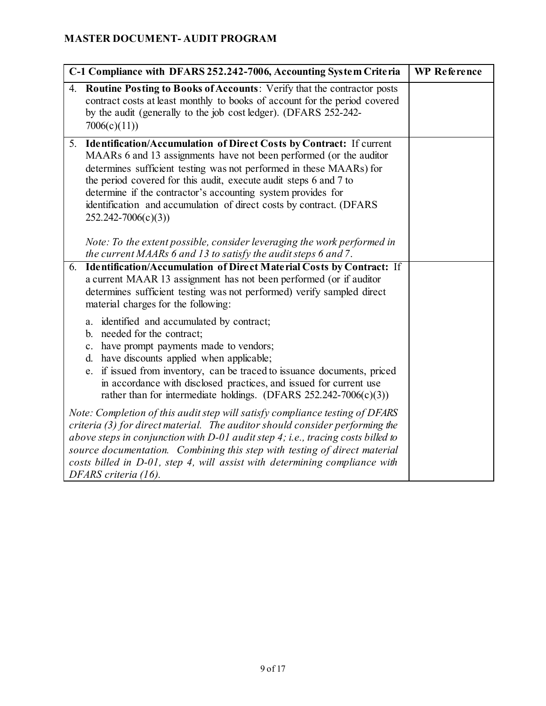| C-1 Compliance with DFARS 252.242-7006, Accounting System Criteria |                                                                                                                                                                                                                                                                                                                                                                                                                                                        | <b>WP</b> Reference |
|--------------------------------------------------------------------|--------------------------------------------------------------------------------------------------------------------------------------------------------------------------------------------------------------------------------------------------------------------------------------------------------------------------------------------------------------------------------------------------------------------------------------------------------|---------------------|
| 4.                                                                 | <b>Routine Posting to Books of Accounts:</b> Verify that the contractor posts<br>contract costs at least monthly to books of account for the period covered<br>by the audit (generally to the job cost ledger). (DFARS 252-242-<br>7006(c)(11)                                                                                                                                                                                                         |                     |
| 5.                                                                 | Identification/Accumulation of Direct Costs by Contract: If current<br>MAARs 6 and 13 assignments have not been performed (or the auditor<br>determines sufficient testing was not performed in these MAARs) for<br>the period covered for this audit, execute audit steps 6 and 7 to<br>determine if the contractor's accounting system provides for<br>identification and accumulation of direct costs by contract. (DFARS<br>$252.242 - 7006(c)(3)$ |                     |
|                                                                    | Note: To the extent possible, consider leveraging the work performed in<br>the current MAARs 6 and 13 to satisfy the audit steps 6 and 7.                                                                                                                                                                                                                                                                                                              |                     |
| 6.                                                                 | Identification/Accumulation of Direct Material Costs by Contract: If<br>a current MAAR 13 assignment has not been performed (or if auditor<br>determines sufficient testing was not performed) verify sampled direct<br>material charges for the following:                                                                                                                                                                                            |                     |
|                                                                    | a. identified and accumulated by contract;<br>b. needed for the contract;<br>c. have prompt payments made to vendors;<br>d. have discounts applied when applicable;<br>e. if issued from inventory, can be traced to issuance documents, priced<br>in accordance with disclosed practices, and issued for current use<br>rather than for intermediate holdings. (DFARS 252.242-7006(c)(3))                                                             |                     |
|                                                                    | Note: Completion of this audit step will satisfy compliance testing of DFARS<br>criteria (3) for direct material. The auditor should consider performing the<br>above steps in conjunction with D-01 audit step 4; i.e., tracing costs billed to<br>source documentation. Combining this step with testing of direct material<br>costs billed in D-01, step 4, will assist with determining compliance with<br>DFARS criteria (16).                    |                     |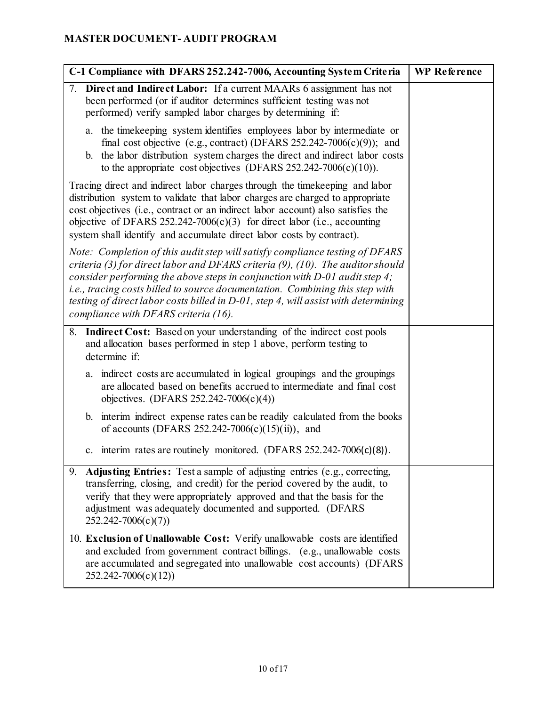| C-1 Compliance with DFARS 252.242-7006, Accounting System Criteria                                                                                                                                                                                                                                                                                                                                                                                            | <b>WP</b> Reference |
|---------------------------------------------------------------------------------------------------------------------------------------------------------------------------------------------------------------------------------------------------------------------------------------------------------------------------------------------------------------------------------------------------------------------------------------------------------------|---------------------|
| 7.<br>Direct and Indirect Labor: If a current MAARs 6 assignment has not<br>been performed (or if auditor determines sufficient testing was not<br>performed) verify sampled labor charges by determining if:                                                                                                                                                                                                                                                 |                     |
| a. the time keeping system identifies employees labor by intermediate or<br>final cost objective (e.g., contract) (DFARS $252.242-7006(c)(9)$ ); and<br>b. the labor distribution system charges the direct and indirect labor costs<br>to the appropriate cost objectives (DFARS $252.242-7006(c)(10)$ ).                                                                                                                                                    |                     |
| Tracing direct and indirect labor charges through the timekeeping and labor<br>distribution system to validate that labor charges are charged to appropriate<br>cost objectives (i.e., contract or an indirect labor account) also satisfies the<br>objective of DFARS 252.242-7006(c)(3) for direct labor (i.e., accounting<br>system shall identify and accumulate direct labor costs by contract).                                                         |                     |
| Note: Completion of this audit step will satisfy compliance testing of DFARS<br>criteria (3) for direct labor and DFARS criteria (9), (10). The auditor should<br>consider performing the above steps in conjunction with $D$ -01 audit step 4;<br>i.e., tracing costs billed to source documentation. Combining this step with<br>testing of direct labor costs billed in D-01, step 4, will assist with determining<br>compliance with DFARS criteria (16). |                     |
| 8. Indirect Cost: Based on your understanding of the indirect cost pools<br>and allocation bases performed in step 1 above, perform testing to<br>determine if:                                                                                                                                                                                                                                                                                               |                     |
| a. indirect costs are accumulated in logical groupings and the groupings<br>are allocated based on benefits accrued to intermediate and final cost<br>objectives. (DFARS 252.242-7006(c)(4))                                                                                                                                                                                                                                                                  |                     |
| b. interim indirect expense rates can be readily calculated from the books<br>of accounts (DFARS 252.242-7006(c)(15)(ii)), and                                                                                                                                                                                                                                                                                                                                |                     |
| c. interim rates are routinely monitored. (DFARS 252.242-7006(c)(8)).                                                                                                                                                                                                                                                                                                                                                                                         |                     |
| Adjusting Entries: Test a sample of adjusting entries (e.g., correcting,<br>9.<br>transferring, closing, and credit) for the period covered by the audit, to<br>verify that they were appropriately approved and that the basis for the<br>adjustment was adequately documented and supported. (DFARS<br>$252.242 - 7006(c)(7))$                                                                                                                              |                     |
| 10. Exclusion of Unallowable Cost: Verify unallowable costs are identified<br>and excluded from government contract billings. (e.g., unallowable costs<br>are accumulated and segregated into unallowable cost accounts) (DFARS<br>$252.242 - 7006(c)(12)$                                                                                                                                                                                                    |                     |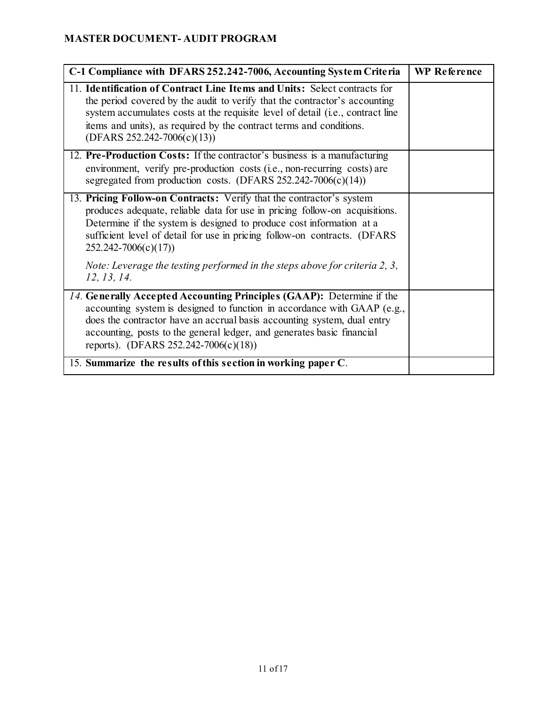| C-1 Compliance with DFARS 252.242-7006, Accounting System Criteria                                                                                                                                                                                                                                                                                  | <b>WP</b> Reference |
|-----------------------------------------------------------------------------------------------------------------------------------------------------------------------------------------------------------------------------------------------------------------------------------------------------------------------------------------------------|---------------------|
| 11. Identification of Contract Line Items and Units: Select contracts for<br>the period covered by the audit to verify that the contractor's accounting<br>system accumulates costs at the requisite level of detail (i.e., contract line<br>items and units), as required by the contract terms and conditions.<br>$(DFARS 252.242 - 7006(c)(13))$ |                     |
| 12. Pre-Production Costs: If the contractor's business is a manufacturing<br>environment, verify pre-production costs (i.e., non-recurring costs) are<br>segregated from production costs. (DFARS $252.242 - 7006(c)(14)$ )                                                                                                                         |                     |
| 13. Pricing Follow-on Contracts: Verify that the contractor's system<br>produces adequate, reliable data for use in pricing follow-on acquisitions.<br>Determine if the system is designed to produce cost information at a<br>sufficient level of detail for use in pricing follow-on contracts. (DFARS<br>$252.242 - 7006(c)(17)$                 |                     |
| Note: Leverage the testing performed in the steps above for criteria 2, 3,<br>12, 13, 14.                                                                                                                                                                                                                                                           |                     |
| 14. Generally Accepted Accounting Principles (GAAP): Determine if the<br>accounting system is designed to function in accordance with GAAP (e.g.,<br>does the contractor have an accrual basis accounting system, dual entry<br>accounting, posts to the general ledger, and generates basic financial<br>reports). (DFARS 252.242-7006(c)(18))     |                     |
| 15. Summarize the results of this section in working paper C.                                                                                                                                                                                                                                                                                       |                     |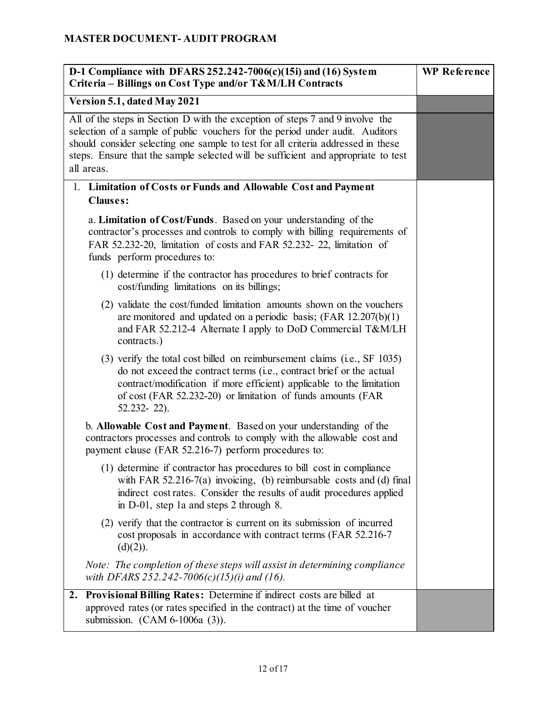| D-1 Compliance with DFARS $252.242-7006(c)(15i)$ and (16) System<br>Criteria - Billings on Cost Type and/or T&M/LH Contracts                                                                                                                                                                                                                          | <b>WP</b> Reference |
|-------------------------------------------------------------------------------------------------------------------------------------------------------------------------------------------------------------------------------------------------------------------------------------------------------------------------------------------------------|---------------------|
| Version 5.1, dated May 2021                                                                                                                                                                                                                                                                                                                           |                     |
| All of the steps in Section D with the exception of steps 7 and 9 involve the<br>selection of a sample of public vouchers for the period under audit. Auditors<br>should consider selecting one sample to test for all criteria addressed in these<br>steps. Ensure that the sample selected will be sufficient and appropriate to test<br>all areas. |                     |
| 1. Limitation of Costs or Funds and Allowable Cost and Payment<br><b>Clauses:</b>                                                                                                                                                                                                                                                                     |                     |
| a. Limitation of Cost/Funds. Based on your understanding of the<br>contractor's processes and controls to comply with billing requirements of<br>FAR 52.232-20, limitation of costs and FAR 52.232-22, limitation of<br>funds perform procedures to:                                                                                                  |                     |
| (1) determine if the contractor has procedures to brief contracts for<br>cost/funding limitations on its billings;                                                                                                                                                                                                                                    |                     |
| (2) validate the cost/funded limitation amounts shown on the vouchers<br>are monitored and updated on a periodic basis; $(FAR 12.207(b)(1))$<br>and FAR 52.212-4 Alternate I apply to DoD Commercial T&M/LH<br>contracts.)                                                                                                                            |                     |
| (3) verify the total cost billed on reimbursement claims (i.e., SF 1035)<br>do not exceed the contract terms (i.e., contract brief or the actual<br>contract/modification if more efficient) applicable to the limitation<br>of cost (FAR 52.232-20) or limitation of funds amounts (FAR<br>$52.232 - 22$ ).                                          |                     |
| b. Allowable Cost and Payment. Based on your understanding of the<br>contractors processes and controls to comply with the allowable cost and<br>payment clause (FAR 52.216-7) perform procedures to:                                                                                                                                                 |                     |
| (1) determine if contractor has procedures to bill cost in compliance<br>with FAR 52.216-7(a) invoicing, (b) reimbursable costs and (d) final<br>indirect cost rates. Consider the results of audit procedures applied<br>in D-01, step 1a and steps 2 through 8.                                                                                     |                     |
| (2) verify that the contractor is current on its submission of incurred<br>cost proposals in accordance with contract terms (FAR 52.216-7)<br>(d)(2)).                                                                                                                                                                                                |                     |
| Note: The completion of these steps will assist in determining compliance<br>with DFARS 252.242-7006(c)(15)(i) and (16).                                                                                                                                                                                                                              |                     |
| 2. Provisional Billing Rates: Determine if indirect costs are billed at<br>approved rates (or rates specified in the contract) at the time of voucher<br>submission. $(CAM 6-1006a (3))$ .                                                                                                                                                            |                     |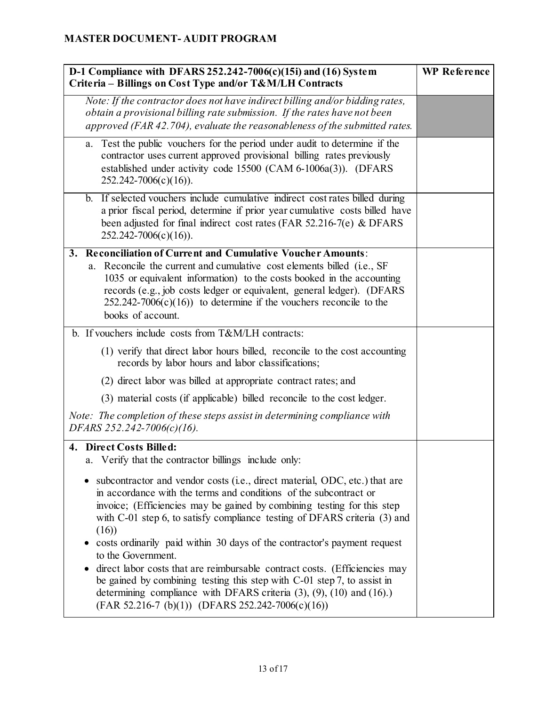| D-1 Compliance with DFARS $252.242-7006(c)(15i)$ and $(16)$ System<br>Criteria - Billings on Cost Type and/or T&M/LH Contracts                                                                                                                                                                                                                                                                                                                                                                                                                                                                                                                                                                                          | <b>WP</b> Reference |
|-------------------------------------------------------------------------------------------------------------------------------------------------------------------------------------------------------------------------------------------------------------------------------------------------------------------------------------------------------------------------------------------------------------------------------------------------------------------------------------------------------------------------------------------------------------------------------------------------------------------------------------------------------------------------------------------------------------------------|---------------------|
| Note: If the contractor does not have indirect billing and/or bidding rates,<br>obtain a provisional billing rate submission. If the rates have not been<br>approved (FAR 42.704), evaluate the reasonableness of the submitted rates.                                                                                                                                                                                                                                                                                                                                                                                                                                                                                  |                     |
| a. Test the public vouchers for the period under audit to determine if the<br>contractor uses current approved provisional billing rates previously<br>established under activity code 15500 (CAM 6-1006a(3)). (DFARS<br>$252.242 - 7006(c)(16)$ .                                                                                                                                                                                                                                                                                                                                                                                                                                                                      |                     |
| If selected vouchers include cumulative indirect cost rates billed during<br>$\mathbf{b}$ .<br>a prior fiscal period, determine if prior year cumulative costs billed have<br>been adjusted for final indirect cost rates (FAR 52.216-7(e) & DFARS<br>$252.242 - 7006(c)(16)$ .                                                                                                                                                                                                                                                                                                                                                                                                                                         |                     |
| 3. Reconciliation of Current and Cumulative Voucher Amounts:<br>a. Reconcile the current and cumulative cost elements billed (i.e., SF<br>1035 or equivalent information) to the costs booked in the accounting<br>records (e.g., job costs ledger or equivalent, general ledger). (DFARS<br>$252.242 - 7006(c)(16)$ to determine if the vouchers reconcile to the<br>books of account.                                                                                                                                                                                                                                                                                                                                 |                     |
| b. If vouchers include costs from T&M/LH contracts:                                                                                                                                                                                                                                                                                                                                                                                                                                                                                                                                                                                                                                                                     |                     |
| (1) verify that direct labor hours billed, reconcile to the cost accounting<br>records by labor hours and labor classifications;                                                                                                                                                                                                                                                                                                                                                                                                                                                                                                                                                                                        |                     |
| (2) direct labor was billed at appropriate contract rates; and                                                                                                                                                                                                                                                                                                                                                                                                                                                                                                                                                                                                                                                          |                     |
| (3) material costs (if applicable) billed reconcile to the cost ledger.                                                                                                                                                                                                                                                                                                                                                                                                                                                                                                                                                                                                                                                 |                     |
| Note: The completion of these steps assist in determining compliance with<br>DFARS 252.242-7006(c)(16).                                                                                                                                                                                                                                                                                                                                                                                                                                                                                                                                                                                                                 |                     |
| 4. Direct Costs Billed:<br>a. Verify that the contractor billings include only:                                                                                                                                                                                                                                                                                                                                                                                                                                                                                                                                                                                                                                         |                     |
| subcontractor and vendor costs (i.e., direct material, ODC, etc.) that are<br>in accordance with the terms and conditions of the subcontract or<br>invoice; (Efficiencies may be gained by combining testing for this step<br>with C-01 step 6, to satisfy compliance testing of DFARS criteria (3) and<br>(16)<br>costs ordinarily paid within 30 days of the contractor's payment request<br>to the Government.<br>direct labor costs that are reimbursable contract costs. (Efficiencies may<br>be gained by combining testing this step with $C$ -01 step 7, to assist in<br>determining compliance with DFARS criteria $(3)$ , $(9)$ , $(10)$ and $(16)$ .)<br>$(FAR 52.216-7 (b)(1)) (DFARS 252.242-7006(c)(16))$ |                     |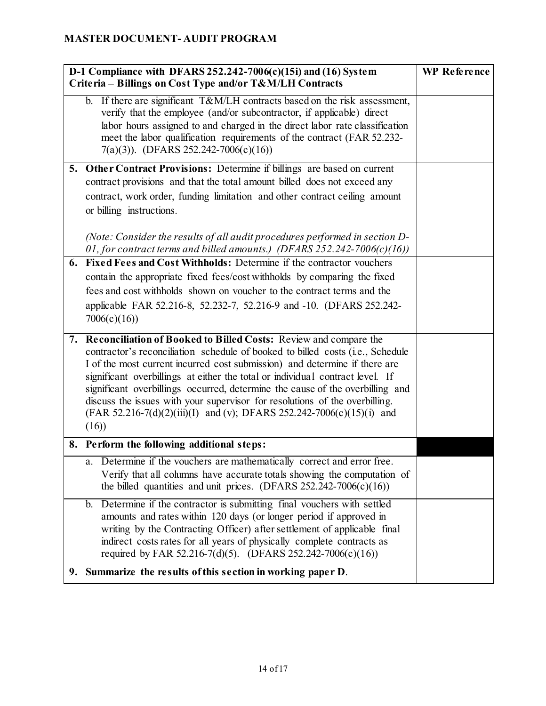| D-1 Compliance with DFARS $252.242-7006(c)(15i)$ and $(16)$ System<br>Criteria – Billings on Cost Type and/or T&M/LH Contracts                                                                                                                                                                                                                                                                                                                                                                                                                                        | <b>WP</b> Reference |
|-----------------------------------------------------------------------------------------------------------------------------------------------------------------------------------------------------------------------------------------------------------------------------------------------------------------------------------------------------------------------------------------------------------------------------------------------------------------------------------------------------------------------------------------------------------------------|---------------------|
| b. If there are significant T&M/LH contracts based on the risk assessment,<br>verify that the employee (and/or subcontractor, if applicable) direct<br>labor hours assigned to and charged in the direct labor rate classification<br>meet the labor qualification requirements of the contract (FAR 52.232-<br>$7(a)(3)$ ). (DFARS 252.242-7006(c)(16))                                                                                                                                                                                                              |                     |
| 5. Other Contract Provisions: Determine if billings are based on current<br>contract provisions and that the total amount billed does not exceed any<br>contract, work order, funding limitation and other contract ceiling amount<br>or billing instructions.<br>(Note: Consider the results of all audit procedures performed in section D-                                                                                                                                                                                                                         |                     |
| 01, for contract terms and billed amounts.) (DFARS 252.242-7006(c)(16))<br>6. Fixed Fees and Cost Withholds: Determine if the contractor vouchers<br>contain the appropriate fixed fees/cost withholds by comparing the fixed<br>fees and cost withholds shown on voucher to the contract terms and the<br>applicable FAR 52.216-8, 52.232-7, 52.216-9 and -10. (DFARS 252.242-<br>7006(c)(16)                                                                                                                                                                        |                     |
| 7. Reconciliation of Booked to Billed Costs: Review and compare the<br>contractor's reconciliation schedule of booked to billed costs (i.e., Schedule<br>I of the most current incurred cost submission) and determine if there are<br>significant overbillings at either the total or individual contract level. If<br>significant overbillings occurred, determine the cause of the overbilling and<br>discuss the issues with your supervisor for resolutions of the overbilling.<br>(FAR 52.216-7(d)(2)(iii)(I) and (v); DFARS 252.242-7006(c)(15)(i) and<br>(16) |                     |
| 8. Perform the following additional steps:                                                                                                                                                                                                                                                                                                                                                                                                                                                                                                                            |                     |
| a. Determine if the vouchers are mathematically correct and error free.<br>Verify that all columns have accurate totals showing the computation of<br>the billed quantities and unit prices. (DFARS 252.242-7006(c)(16))                                                                                                                                                                                                                                                                                                                                              |                     |
| Determine if the contractor is submitting final vouchers with settled<br>$\mathbf{b}$ .<br>amounts and rates within 120 days (or longer period if approved in<br>writing by the Contracting Officer) after settlement of applicable final<br>indirect costs rates for all years of physically complete contracts as<br>required by FAR 52.216-7(d)(5). (DFARS 252.242-7006(c)(16))                                                                                                                                                                                    |                     |
| 9. Summarize the results of this section in working paper D.                                                                                                                                                                                                                                                                                                                                                                                                                                                                                                          |                     |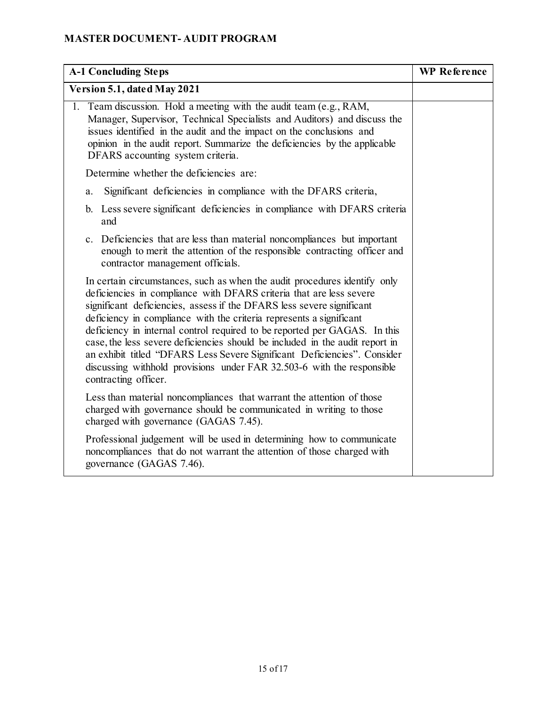| <b>A-1 Concluding Steps</b>                                                                                                                                                                                                                                                                                                                                                                                                                                                                                                                                                                                                                 | <b>WP</b> Reference |
|---------------------------------------------------------------------------------------------------------------------------------------------------------------------------------------------------------------------------------------------------------------------------------------------------------------------------------------------------------------------------------------------------------------------------------------------------------------------------------------------------------------------------------------------------------------------------------------------------------------------------------------------|---------------------|
| Version 5.1, dated May 2021                                                                                                                                                                                                                                                                                                                                                                                                                                                                                                                                                                                                                 |                     |
| 1. Team discussion. Hold a meeting with the audit team (e.g., RAM,<br>Manager, Supervisor, Technical Specialists and Auditors) and discuss the<br>issues identified in the audit and the impact on the conclusions and<br>opinion in the audit report. Summarize the deficiencies by the applicable<br>DFARS accounting system criteria.                                                                                                                                                                                                                                                                                                    |                     |
| Determine whether the deficiencies are:                                                                                                                                                                                                                                                                                                                                                                                                                                                                                                                                                                                                     |                     |
| Significant deficiencies in compliance with the DFARS criteria,<br>a.                                                                                                                                                                                                                                                                                                                                                                                                                                                                                                                                                                       |                     |
| b. Less severe significant deficiencies in compliance with DFARS criteria<br>and                                                                                                                                                                                                                                                                                                                                                                                                                                                                                                                                                            |                     |
| c. Deficiencies that are less than material noncompliances but important<br>enough to merit the attention of the responsible contracting officer and<br>contractor management officials.                                                                                                                                                                                                                                                                                                                                                                                                                                                    |                     |
| In certain circumstances, such as when the audit procedures identify only<br>deficiencies in compliance with DFARS criteria that are less severe<br>significant deficiencies, assess if the DFARS less severe significant<br>deficiency in compliance with the criteria represents a significant<br>deficiency in internal control required to be reported per GAGAS. In this<br>case, the less severe deficiencies should be included in the audit report in<br>an exhibit titled "DFARS Less Severe Significant Deficiencies". Consider<br>discussing withhold provisions under FAR 32.503-6 with the responsible<br>contracting officer. |                     |
| Less than material noncompliances that warrant the attention of those<br>charged with governance should be communicated in writing to those<br>charged with governance (GAGAS 7.45).                                                                                                                                                                                                                                                                                                                                                                                                                                                        |                     |
| Professional judgement will be used in determining how to communicate<br>noncompliances that do not warrant the attention of those charged with<br>governance (GAGAS 7.46).                                                                                                                                                                                                                                                                                                                                                                                                                                                                 |                     |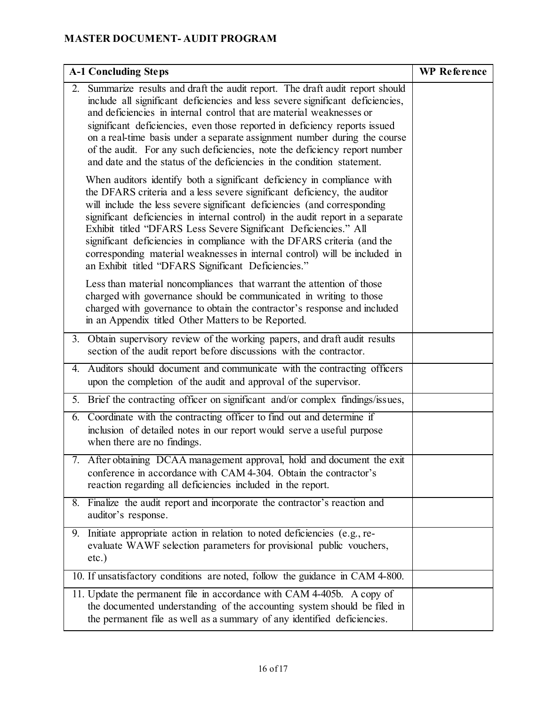| <b>A-1 Concluding Steps</b>                                                                                                                                                                                                                                                                                                                                                                                                                                                                                                                                                                            | <b>WP</b> Reference |
|--------------------------------------------------------------------------------------------------------------------------------------------------------------------------------------------------------------------------------------------------------------------------------------------------------------------------------------------------------------------------------------------------------------------------------------------------------------------------------------------------------------------------------------------------------------------------------------------------------|---------------------|
| 2. Summarize results and draft the audit report. The draft audit report should<br>include all significant deficiencies and less severe significant deficiencies,<br>and deficiencies in internal control that are material weaknesses or<br>significant deficiencies, even those reported in deficiency reports issued<br>on a real-time basis under a separate assignment number during the course<br>of the audit. For any such deficiencies, note the deficiency report number<br>and date and the status of the deficiencies in the condition statement.                                           |                     |
| When auditors identify both a significant deficiency in compliance with<br>the DFARS criteria and a less severe significant deficiency, the auditor<br>will include the less severe significant deficiencies (and corresponding<br>significant deficiencies in internal control) in the audit report in a separate<br>Exhibit titled "DFARS Less Severe Significant Deficiencies." All<br>significant deficiencies in compliance with the DFARS criteria (and the<br>corresponding material weaknesses in internal control) will be included in<br>an Exhibit titled "DFARS Significant Deficiencies." |                     |
| Less than material noncompliances that warrant the attention of those<br>charged with governance should be communicated in writing to those<br>charged with governance to obtain the contractor's response and included<br>in an Appendix titled Other Matters to be Reported.                                                                                                                                                                                                                                                                                                                         |                     |
| 3. Obtain supervisory review of the working papers, and draft audit results<br>section of the audit report before discussions with the contractor.                                                                                                                                                                                                                                                                                                                                                                                                                                                     |                     |
| Auditors should document and communicate with the contracting officers<br>4.<br>upon the completion of the audit and approval of the supervisor.                                                                                                                                                                                                                                                                                                                                                                                                                                                       |                     |
| 5. Brief the contracting officer on significant and/or complex findings/issues,                                                                                                                                                                                                                                                                                                                                                                                                                                                                                                                        |                     |
| 6. Coordinate with the contracting officer to find out and determine if<br>inclusion of detailed notes in our report would serve a useful purpose<br>when there are no findings.                                                                                                                                                                                                                                                                                                                                                                                                                       |                     |
| 7. After obtaining DCAA management approval, hold and document the exit<br>conference in accordance with CAM 4-304. Obtain the contractor's<br>reaction regarding all deficiencies included in the report.                                                                                                                                                                                                                                                                                                                                                                                             |                     |
| 8. Finalize the audit report and incorporate the contractor's reaction and<br>auditor's response.                                                                                                                                                                                                                                                                                                                                                                                                                                                                                                      |                     |
| 9. Initiate appropriate action in relation to noted deficiencies (e.g., re-<br>evaluate WAWF selection parameters for provisional public vouchers,<br>$etc.$ )                                                                                                                                                                                                                                                                                                                                                                                                                                         |                     |
| 10. If unsatisfactory conditions are noted, follow the guidance in CAM 4-800.                                                                                                                                                                                                                                                                                                                                                                                                                                                                                                                          |                     |
| 11. Update the permanent file in accordance with CAM 4-405b. A copy of<br>the documented understanding of the accounting system should be filed in<br>the permanent file as well as a summary of any identified deficiencies.                                                                                                                                                                                                                                                                                                                                                                          |                     |